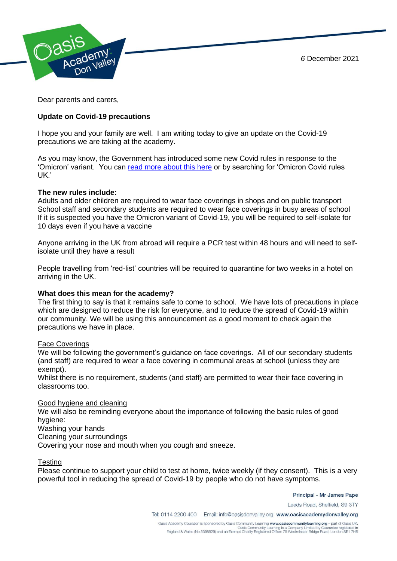*6* December 2021



Dear parents and carers,

# **Update on Covid-19 precautions**

I hope you and your family are well. I am writing today to give an update on the Covid-19 precautions we are taking at the academy.

As you may know, the Government has introduced some new Covid rules in response to the 'Omicron' variant. You can [read more about this here](https://www.bbc.co.uk/news/explainers-52530518) or by searching for 'Omicron Covid rules UK.'

## **The new rules include:**

Adults and older children are required to wear face coverings in shops and on public transport School staff and secondary students are required to wear face coverings in busy areas of school If it is suspected you have the Omicron variant of Covid-19, you will be required to self-isolate for 10 days even if you have a vaccine

Anyone arriving in the UK from abroad will require a PCR test within 48 hours and will need to selfisolate until they have a result

People travelling from 'red-list' countries will be required to quarantine for two weeks in a hotel on arriving in the UK.

## **What does this mean for the academy?**

The first thing to say is that it remains safe to come to school. We have lots of precautions in place which are designed to reduce the risk for everyone, and to reduce the spread of Covid-19 within our community. We will be using this announcement as a good moment to check again the precautions we have in place.

## Face Coverings

We will be following the government's guidance on face coverings. All of our secondary students (and staff) are required to wear a face covering in communal areas at school (unless they are exempt).

Whilst there is no requirement, students (and staff) are permitted to wear their face covering in classrooms too.

## Good hygiene and cleaning

We will also be reminding everyone about the importance of following the basic rules of good hygiene:

Washing your hands

Cleaning your surroundings

Covering your nose and mouth when you cough and sneeze.

## **Testing**

Please continue to support your child to test at home, twice weekly (if they consent). This is a very powerful tool in reducing the spread of Covid-19 by people who do not have symptoms.

Principal - Mr James Pape

Leeds Road, Sheffield, S9 3TY

Tel: 0114 2200 400 Email: info@oasisdonvalley.org www.oasisacademydonvalley.org

Oasis Academy Coulsdon is sponsored by Oasis Community Learning www.oasiscommunitylearning.org - part of Oasis UK. Oasis Community Learning is a Company Limited by Guarantee registered in<br>England & Wales (No.5398529) and an Exempt Charity Registered Office: 75 Westminster Bridge Road, London SE1 7HS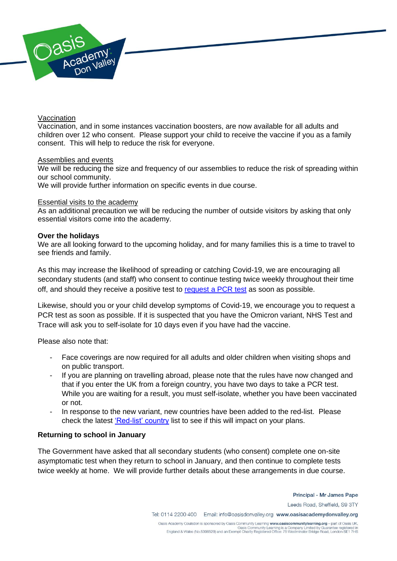

### Vaccination

Vaccination, and in some instances vaccination boosters, are now available for all adults and children over 12 who consent. Please support your child to receive the vaccine if you as a family consent. This will help to reduce the risk for everyone.

#### Assemblies and events

We will be reducing the size and frequency of our assemblies to reduce the risk of spreading within our school community.

We will provide further information on specific events in due course.

## Essential visits to the academy

As an additional precaution we will be reducing the number of outside visitors by asking that only essential visitors come into the academy.

### **Over the holidays**

We are all looking forward to the upcoming holiday, and for many families this is a time to travel to see friends and family.

As this may increase the likelihood of spreading or catching Covid-19, we are encouraging all secondary students (and staff) who consent to continue testing twice weekly throughout their time off, and should they receive a positive test to [request a PCR test](https://www.gov.uk/get-coronavirus-test) as soon as possible.

Likewise, should you or your child develop symptoms of Covid-19, we encourage you to request a PCR test as soon as possible. If it is suspected that you have the Omicron variant, NHS Test and Trace will ask you to self-isolate for 10 days even if you have had the vaccine.

Please also note that:

- Face coverings are now required for all adults and older children when visiting shops and on public transport.
- If you are planning on travelling abroad, please note that the rules have now changed and that if you enter the UK from a foreign country, you have two days to take a PCR test. While you are waiting for a result, you must self-isolate, whether you have been vaccinated or not.
- In response to the new variant, new countries have been added to the red-list. Please check the latest ['Red-list' country](https://www.gov.uk/guidance/red-list-of-countries-and-territories) list to see if this will impact on your plans.

## **Returning to school in January**

The Government have asked that all secondary students (who consent) complete one on-site asymptomatic test when they return to school in January, and then continue to complete tests twice weekly at home. We will provide further details about these arrangements in due course.

> Principal - Mr James Pape Leeds Road, Sheffield, S9 3TY

Tel: 0114 2200 400 Email: info@oasisdonvalley.org www.oasisacademydonvalley.org

Oasis Academy Coulsdon is sponsored by Oasis Community Learning www.oasiscommunitylearning.org - part of Oasis UK. Oasis Community Learning is a Company Limited by Guarantee registered in<br>England & Wales (No.5398529) and an Exempt Charity Registered Office: 75 Westminster Bridge Road, London SE1 7HS